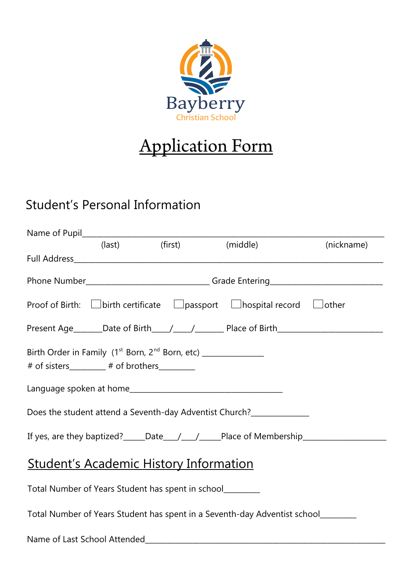

# Application Form

## Student's Personal Information

|                                                                                                                                       |  |                                                                                              | (nickname)                                                                                           |
|---------------------------------------------------------------------------------------------------------------------------------------|--|----------------------------------------------------------------------------------------------|------------------------------------------------------------------------------------------------------|
|                                                                                                                                       |  |                                                                                              |                                                                                                      |
|                                                                                                                                       |  |                                                                                              | Phone Number__________________________________Grade Entering_____________________                    |
|                                                                                                                                       |  | Proof of Birth: $\Box$ birth certificate $\Box$ passport $\Box$ hospital record $\Box$ other |                                                                                                      |
|                                                                                                                                       |  |                                                                                              |                                                                                                      |
| Birth Order in Family (1 <sup>st</sup> Born, 2 <sup>nd</sup> Born, etc) ______________<br># of sisters_________# of brothers_________ |  |                                                                                              |                                                                                                      |
|                                                                                                                                       |  |                                                                                              |                                                                                                      |
|                                                                                                                                       |  | Does the student attend a Seventh-day Adventist Church?                                      |                                                                                                      |
|                                                                                                                                       |  |                                                                                              | If yes, are they baptized? _____Date____/_____/_____Place of Membership_____________________________ |
| <u><b>Student's Academic History Information</b></u>                                                                                  |  |                                                                                              |                                                                                                      |
| Total Number of Years Student has spent in school_________                                                                            |  |                                                                                              |                                                                                                      |
|                                                                                                                                       |  | Total Number of Years Student has spent in a Seventh-day Adventist school_______             |                                                                                                      |
| Name of Last School Attended                                                                                                          |  |                                                                                              |                                                                                                      |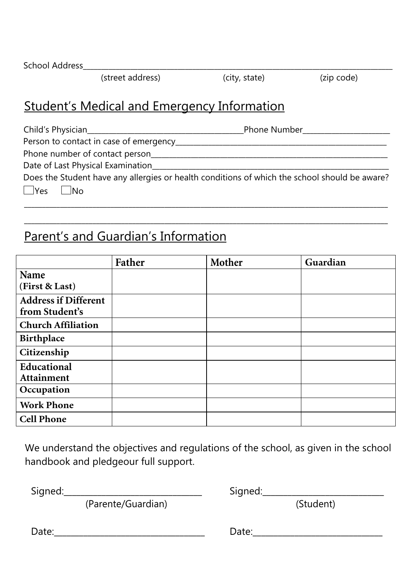School Address\_\_\_\_\_\_\_\_\_\_\_\_\_\_\_\_\_\_\_\_\_\_\_\_\_\_\_\_\_\_\_\_\_\_\_\_\_\_\_\_\_\_\_\_\_\_\_\_\_\_\_\_\_\_\_\_\_\_\_\_\_\_\_\_\_\_\_\_\_\_\_\_\_\_\_\_\_\_\_\_\_\_\_\_\_

(street address) (city, state) (zip code)

## Student's Medical and Emergency Information

Child's Physician\_\_\_\_\_\_\_\_\_\_\_\_\_\_\_\_\_\_\_\_\_\_\_\_\_\_\_\_\_\_\_\_\_\_\_\_\_\_\_\_\_\_\_Phone Number\_\_\_\_\_\_\_\_\_\_\_\_\_\_\_\_\_\_\_\_\_\_\_\_

Person to contact in case of emergency\_\_\_\_\_\_\_\_\_\_\_\_\_\_\_\_\_\_\_\_\_\_\_\_\_\_\_\_\_\_\_\_\_\_\_\_\_\_\_\_\_\_\_\_\_\_\_\_\_\_\_\_\_\_\_\_\_\_

Phone number of contact person\_\_\_\_\_\_\_\_\_\_\_\_\_\_\_\_\_\_\_\_\_\_\_\_\_\_\_\_\_\_\_\_\_\_\_\_\_\_\_\_\_\_\_\_\_\_\_\_\_\_\_\_\_\_\_\_\_\_\_\_\_\_\_\_\_ Date of Last Physical Examination **Example 2008** 

| Does the Student have any allergies or health conditions of which the school should be aware? |  |
|-----------------------------------------------------------------------------------------------|--|
| $\Box$ Yes $\Box$ No                                                                          |  |

\_\_\_\_\_\_\_\_\_\_\_\_\_\_\_\_\_\_\_\_\_\_\_\_\_\_\_\_\_\_\_\_\_\_\_\_\_\_\_\_\_\_\_\_\_\_\_\_\_\_\_\_\_\_\_\_\_\_\_\_\_\_\_\_\_\_\_\_\_\_\_\_\_\_\_\_\_\_\_\_\_\_\_\_\_\_\_\_\_\_\_\_\_\_\_\_\_\_\_\_\_

\_\_\_\_\_\_\_\_\_\_\_\_\_\_\_\_\_\_\_\_\_\_\_\_\_\_\_\_\_\_\_\_\_\_\_\_\_\_\_\_\_\_\_\_\_\_\_\_\_\_\_\_\_\_\_\_\_\_\_\_\_\_\_\_\_\_\_\_\_\_\_\_\_\_\_\_\_\_\_\_\_\_\_\_\_\_\_\_\_\_\_\_\_\_\_\_\_\_\_\_\_

## Parent's and Guardian's Information

|                             | Father | Mother | Guardian |
|-----------------------------|--------|--------|----------|
| <b>Name</b>                 |        |        |          |
| (First & Last)              |        |        |          |
| <b>Address if Different</b> |        |        |          |
| from Student's              |        |        |          |
| <b>Church Affiliation</b>   |        |        |          |
| Birthplace                  |        |        |          |
| Citizenship                 |        |        |          |
| Educational                 |        |        |          |
| Attainment                  |        |        |          |
| Occupation                  |        |        |          |
| <b>Work Phone</b>           |        |        |          |
| <b>Cell Phone</b>           |        |        |          |

We understand the objectives and regulations of the school, as given in the school handbook and pledgeour full support.

 $Sigma_{\text{1}}$ 

(Parente/Guardian) (Student)

 $Date:$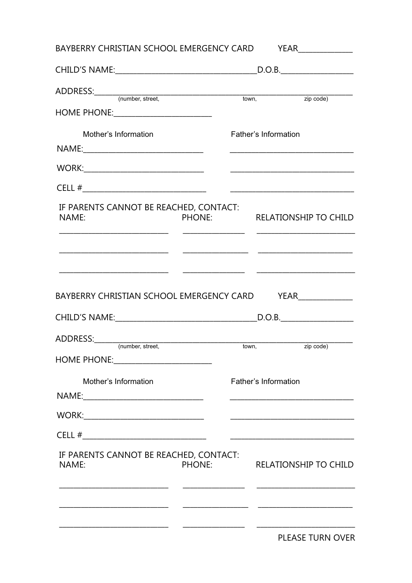|                                                                                                                                                                                                                                |               | D.O.B. |                              |  |  |  |
|--------------------------------------------------------------------------------------------------------------------------------------------------------------------------------------------------------------------------------|---------------|--------|------------------------------|--|--|--|
|                                                                                                                                                                                                                                |               |        | $\overline{zip code}$        |  |  |  |
| HOME PHONE: __________________________                                                                                                                                                                                         |               |        |                              |  |  |  |
| Mother's Information                                                                                                                                                                                                           |               |        | Father's Information         |  |  |  |
|                                                                                                                                                                                                                                |               |        |                              |  |  |  |
| WORK: New York Street, New York Street, New York Street, New York Street, New York Street, New York Street, New York Street, New York Street, New York Street, New York Street, New York Street, New York Street, New York Str |               |        |                              |  |  |  |
|                                                                                                                                                                                                                                |               |        |                              |  |  |  |
| IF PARENTS CANNOT BE REACHED, CONTACT:<br>NAME:                                                                                                                                                                                | PHONE:        |        | <b>RELATIONSHIP TO CHILD</b> |  |  |  |
|                                                                                                                                                                                                                                |               |        |                              |  |  |  |
|                                                                                                                                                                                                                                |               |        |                              |  |  |  |
|                                                                                                                                                                                                                                |               |        |                              |  |  |  |
|                                                                                                                                                                                                                                |               |        |                              |  |  |  |
|                                                                                                                                                                                                                                |               |        |                              |  |  |  |
|                                                                                                                                                                                                                                |               |        |                              |  |  |  |
|                                                                                                                                                                                                                                |               |        | <b>YEAR</b> _______________  |  |  |  |
|                                                                                                                                                                                                                                |               |        |                              |  |  |  |
| (number, street,                                                                                                                                                                                                               |               | town,  | zip code)                    |  |  |  |
|                                                                                                                                                                                                                                |               |        |                              |  |  |  |
| Mother's Information                                                                                                                                                                                                           |               |        | <b>Father's Information</b>  |  |  |  |
|                                                                                                                                                                                                                                |               |        |                              |  |  |  |
| BAYBERRY CHRISTIAN SCHOOL EMERGENCY CARD<br>ADDRESS:________                                                                                                                                                                   |               |        |                              |  |  |  |
|                                                                                                                                                                                                                                |               |        |                              |  |  |  |
| IF PARENTS CANNOT BE REACHED, CONTACT:<br>NAME:                                                                                                                                                                                | <b>PHONE:</b> |        | <b>RELATIONSHIP TO CHILD</b> |  |  |  |
|                                                                                                                                                                                                                                |               |        |                              |  |  |  |
|                                                                                                                                                                                                                                |               |        |                              |  |  |  |
|                                                                                                                                                                                                                                |               |        |                              |  |  |  |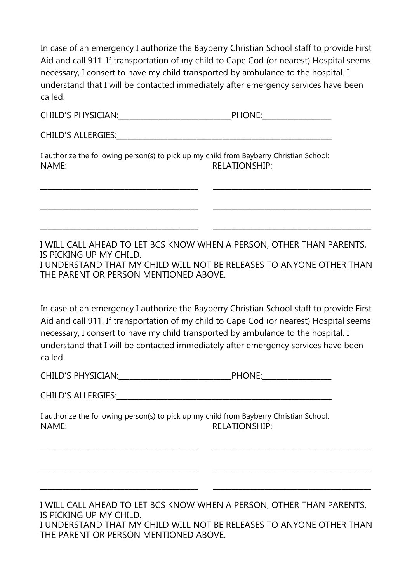In case of an emergency I authorize the Bayberry Christian School staff to provide First Aid and call 911. If transportation of my child to Cape Cod (or nearest) Hospital seems necessary, I consert to have my child transported by ambulance to the hospital. I understand that I will be contacted immediately after emergency services have been called.

CHILD'S ALLERGIES: **We have all that the set of the set of the set of the set of the set of the set of the set of the set of the set of the set of the set of the set of the set of the set of the set of the set of the set o** 

\_\_\_\_\_\_\_\_\_\_\_\_\_\_\_\_\_\_\_\_\_\_\_\_\_\_\_\_\_\_\_\_\_\_\_\_\_\_\_\_\_\_\_

\_\_\_\_\_\_\_\_\_\_\_\_\_\_\_\_\_\_\_\_\_\_\_\_\_\_\_\_\_\_\_\_\_\_\_\_\_\_\_\_\_\_\_

\_\_\_\_\_\_\_\_\_\_\_\_\_\_\_\_\_\_\_\_\_\_\_\_\_\_\_\_\_\_\_\_\_\_\_\_\_\_\_\_\_\_\_

\_\_\_\_\_\_\_\_\_\_\_\_\_\_\_\_\_\_\_\_\_\_\_\_\_\_\_\_\_\_\_\_\_\_\_\_\_\_\_\_\_\_\_

\_\_\_\_\_\_\_\_\_\_\_\_\_\_\_\_\_\_\_\_\_\_\_\_\_\_\_\_\_\_\_\_\_\_\_\_\_\_\_\_\_\_\_

\_\_\_\_\_\_\_\_\_\_\_\_\_\_\_\_\_\_\_\_\_\_\_\_\_\_\_\_\_\_\_\_\_\_\_\_\_\_\_\_\_\_\_

I authorize the following person(s) to pick up my child from Bayberry Christian School: NAME: RELATIONSHIP:

I WILL CALL AHEAD TO LET BCS KNOW WHEN A PERSON, OTHER THAN PARENTS, IS PICKING UP MY CHILD.

\_\_\_\_\_\_\_\_\_\_\_\_\_\_\_\_\_\_\_\_\_\_\_\_\_\_\_\_\_\_\_\_\_\_\_\_\_\_\_\_\_\_\_

\_\_\_\_\_\_\_\_\_\_\_\_\_\_\_\_\_\_\_\_\_\_\_\_\_\_\_\_\_\_\_\_\_\_\_\_\_\_\_\_\_\_\_

\_\_\_\_\_\_\_\_\_\_\_\_\_\_\_\_\_\_\_\_\_\_\_\_\_\_\_\_\_\_\_\_\_\_\_\_\_\_\_\_\_\_\_

\_\_\_\_\_\_\_\_\_\_\_\_\_\_\_\_\_\_\_\_\_\_\_\_\_\_\_\_\_\_\_\_\_\_\_\_\_\_\_\_\_\_\_

\_\_\_\_\_\_\_\_\_\_\_\_\_\_\_\_\_\_\_\_\_\_\_\_\_\_\_\_\_\_\_\_\_\_\_\_\_\_\_\_\_\_\_

\_\_\_\_\_\_\_\_\_\_\_\_\_\_\_\_\_\_\_\_\_\_\_\_\_\_\_\_\_\_\_\_\_\_\_\_\_\_\_\_\_\_\_

I UNDERSTAND THAT MY CHILD WILL NOT BE RELEASES TO ANYONE OTHER THAN THE PARENT OR PERSON MENTIONED ABOVE.

In case of an emergency I authorize the Bayberry Christian School staff to provide First Aid and call 911. If transportation of my child to Cape Cod (or nearest) Hospital seems necessary, I consert to have my child transported by ambulance to the hospital. I understand that I will be contacted immediately after emergency services have been called.

| <b>CHILD'S PHYSICIAN:</b> | <b>PHONE.</b> |
|---------------------------|---------------|
|---------------------------|---------------|

CHILD'S ALLERGIES: The contract of the contract of the contract of the contract of the contract of the contract of the contract of the contract of the contract of the contract of the contract of the contract of the contrac

I authorize the following person(s) to pick up my child from Bayberry Christian School: NAME: RELATIONSHIP:

I WILL CALL AHEAD TO LET BCS KNOW WHEN A PERSON, OTHER THAN PARENTS, IS PICKING UP MY CHILD. I UNDERSTAND THAT MY CHILD WILL NOT BE RELEASES TO ANYONE OTHER THAN THE PARENT OR PERSON MENTIONED ABOVE.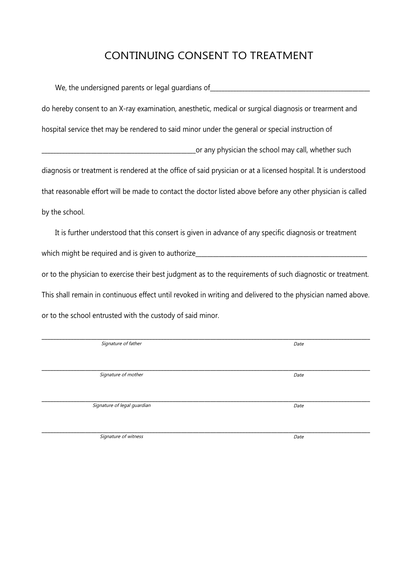#### CONTINUING CONSENT TO TREATMENT

| We, the undersigned parents or legal guardians of                                                              |
|----------------------------------------------------------------------------------------------------------------|
| do hereby consent to an X-ray examination, anesthetic, medical or surgical diagnosis or trearment and          |
| hospital service thet may be rendered to said minor under the general or special instruction of                |
| or any physician the school may call, whether such                                                             |
| diagnosis or treatment is rendered at the office of said prysician or at a licensed hospital. It is understood |
| that reasonable effort will be made to contact the doctor listed above before any other physician is called    |
| by the school.                                                                                                 |
| It is further understood that this consert is given in advance of any specific diagnosis or treatment          |

which might be required and is given to authorize\_\_\_\_\_\_\_\_\_\_\_\_\_\_\_\_\_\_\_\_\_\_\_\_\_\_\_\_\_\_\_ or to the physician to exercise their best judgment as to the requirements of such diagnostic or treatment. This shall remain in continuous effect until revoked in writing and delivered to the physician named above. or to the school entrusted with the custody of said minor.

| Signature of father         | Date |
|-----------------------------|------|
|                             |      |
|                             |      |
|                             |      |
|                             |      |
| Signature of mother         | Date |
|                             |      |
|                             |      |
|                             |      |
| Signature of legal guardian | Date |
|                             |      |
|                             |      |
|                             |      |
|                             |      |
| Signature of witness        | Date |
|                             |      |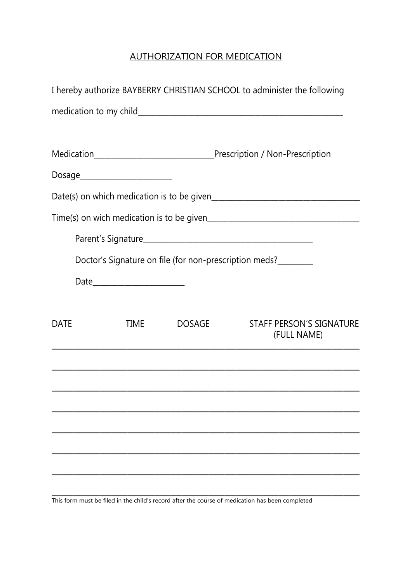#### AUTHORIZATION FOR MEDICATION

|             |                                 |               | I hereby authorize BAYBERRY CHRISTIAN SCHOOL to administer the following |
|-------------|---------------------------------|---------------|--------------------------------------------------------------------------|
|             |                                 |               |                                                                          |
|             |                                 |               |                                                                          |
|             | Dosage_________________________ |               |                                                                          |
|             |                                 |               |                                                                          |
|             |                                 |               |                                                                          |
|             |                                 |               |                                                                          |
|             |                                 |               | Doctor's Signature on file (for non-prescription meds?                   |
|             |                                 |               |                                                                          |
|             |                                 |               |                                                                          |
| <b>DATE</b> | <b>TIME</b>                     | <b>DOSAGE</b> | <b>STAFF PERSON'S SIGNATURE</b><br>(FULL NAME)                           |
|             |                                 |               |                                                                          |
|             |                                 |               |                                                                          |
|             |                                 |               |                                                                          |
|             |                                 |               |                                                                          |
|             |                                 |               |                                                                          |
|             |                                 |               |                                                                          |
|             |                                 |               |                                                                          |

This form must be filed in the child's record after the course of medication has been completed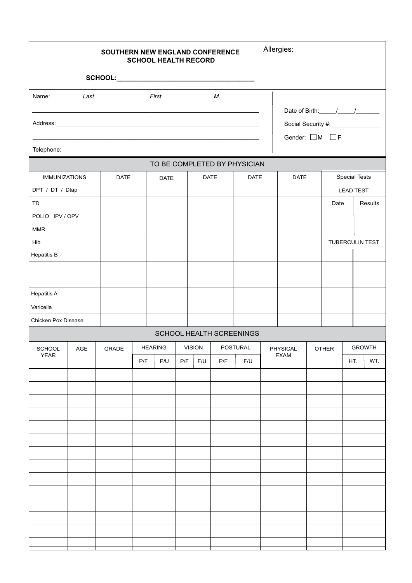| SOUTHERN NEW ENGLAND CONFERENCE<br><b>SCHOOL HEALTH RECORD</b> |      |              |     |                |     |               | Allergies:      |                                                                    |          |             |  |                  |  |                      |                 |
|----------------------------------------------------------------|------|--------------|-----|----------------|-----|---------------|-----------------|--------------------------------------------------------------------|----------|-------------|--|------------------|--|----------------------|-----------------|
|                                                                |      |              |     |                |     |               |                 |                                                                    |          |             |  |                  |  |                      |                 |
| Name:                                                          | Last |              |     | First          |     |               | М.              |                                                                    |          |             |  |                  |  |                      |                 |
|                                                                |      |              |     |                |     |               |                 |                                                                    |          |             |  |                  |  |                      |                 |
|                                                                |      |              |     |                |     |               |                 | Social Security #:___________________<br>Gender: $\Box M$ $\Box F$ |          |             |  |                  |  |                      |                 |
| Telephone:                                                     |      |              |     |                |     |               |                 |                                                                    |          |             |  |                  |  |                      |                 |
|                                                                |      |              |     |                |     |               |                 | TO BE COMPLETED BY PHYSICIAN                                       |          |             |  |                  |  |                      |                 |
| <b>IMMUNIZATIONS</b>                                           |      | <b>DATE</b>  |     | <b>DATE</b>    |     | <b>DATE</b>   |                 | DATE                                                               |          | <b>DATE</b> |  |                  |  | <b>Special Tests</b> |                 |
| DPT / DT / Dtap                                                |      |              |     |                |     |               |                 |                                                                    |          |             |  | <b>LEAD TEST</b> |  |                      |                 |
| TD                                                             |      |              |     |                |     |               |                 |                                                                    |          |             |  | Date             |  |                      | Results         |
| POLIO IPV / OPV                                                |      |              |     |                |     |               |                 |                                                                    |          |             |  |                  |  |                      |                 |
| <b>MMR</b>                                                     |      |              |     |                |     |               |                 |                                                                    |          |             |  |                  |  |                      |                 |
| Hib<br><b>Hepatitis B</b>                                      |      |              |     |                |     |               |                 |                                                                    |          |             |  |                  |  |                      | TUBERCULIN TEST |
|                                                                |      |              |     |                |     |               |                 |                                                                    |          |             |  |                  |  |                      |                 |
|                                                                |      |              |     |                |     |               |                 |                                                                    |          |             |  |                  |  |                      |                 |
| <b>Hepatitis A</b>                                             |      |              |     |                |     |               |                 |                                                                    |          |             |  |                  |  |                      |                 |
| Varicella                                                      |      |              |     |                |     |               |                 |                                                                    |          |             |  |                  |  |                      |                 |
| Chicken Pox Disease                                            |      |              |     |                |     |               |                 |                                                                    |          |             |  |                  |  |                      |                 |
|                                                                |      |              |     |                |     |               |                 | <b>SCHOOL HEALTH SCREENINGS</b>                                    |          |             |  |                  |  |                      |                 |
| <b>SCHOOL</b>                                                  | AGE  | <b>GRADE</b> |     | <b>HEARING</b> |     | <b>VISION</b> | <b>POSTURAL</b> |                                                                    | PHYSICAL |             |  | <b>OTHER</b>     |  | <b>GROWTH</b>        |                 |
| YEAR                                                           |      |              | P/F | P/U            | P/F | F/U           | P/F             | F/U                                                                |          | EXAM        |  |                  |  | HT.                  | WT.             |
|                                                                |      |              |     |                |     |               |                 |                                                                    |          |             |  |                  |  |                      |                 |
|                                                                |      |              |     |                |     |               |                 |                                                                    |          |             |  |                  |  |                      |                 |
|                                                                |      |              |     |                |     |               |                 |                                                                    |          |             |  |                  |  |                      |                 |
|                                                                |      |              |     |                |     |               |                 |                                                                    |          |             |  |                  |  |                      |                 |
|                                                                |      |              |     |                |     |               |                 |                                                                    |          |             |  |                  |  |                      |                 |
|                                                                |      |              |     |                |     |               |                 |                                                                    |          |             |  |                  |  |                      |                 |
|                                                                |      |              |     |                |     |               |                 |                                                                    |          |             |  |                  |  |                      |                 |
|                                                                |      |              |     |                |     |               |                 |                                                                    |          |             |  |                  |  |                      |                 |
|                                                                |      |              |     |                |     |               |                 |                                                                    |          |             |  |                  |  |                      |                 |
|                                                                |      |              |     |                |     |               |                 |                                                                    |          |             |  |                  |  |                      |                 |
|                                                                |      |              |     |                |     |               |                 |                                                                    |          |             |  |                  |  |                      |                 |
|                                                                |      |              |     |                |     |               |                 |                                                                    |          |             |  |                  |  |                      |                 |
|                                                                |      |              |     |                |     |               |                 |                                                                    |          |             |  |                  |  |                      |                 |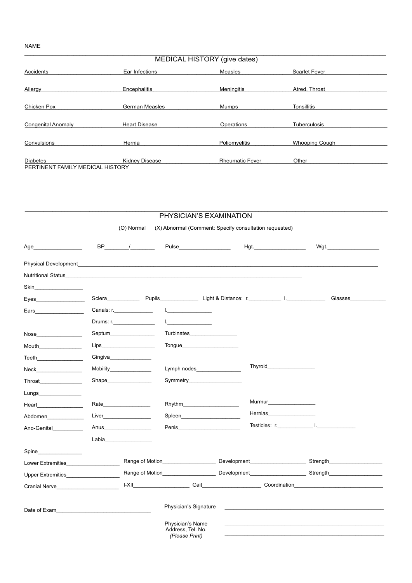#### **NAME**

|                                                     |                       | MEDICAL HISTORY (give dates) |                       |  |
|-----------------------------------------------------|-----------------------|------------------------------|-----------------------|--|
| Accidents                                           | Ear Infections        | Measles                      | <b>Scarlet Fever</b>  |  |
| Allergy                                             | Encephalitis          | <b>Meningitis</b>            | Atred. Throat         |  |
| Chicken Pox                                         | <b>German Measles</b> | Mumps                        | Tonsillitis           |  |
| <b>Congenital Anomaly</b>                           | <b>Heart Disease</b>  | Operations                   | <b>Tuberculosis</b>   |  |
| Convulsions                                         | Hernia                | Poliomyelitis                | <b>Whooping Cough</b> |  |
| <b>Diabetes</b><br>PERTINENT FAMILY MEDICAL HISTORY | <b>Kidney Disease</b> | <b>Rheumatic Fever</b>       | Other                 |  |

|                                                                                                                                                                                                                                      |                                                                                                                                                                                                                                |                                                         | PHYSICIAN'S EXAMINATION                                                                                                                                                                                                              |                                                        |                                                                                                                                                                                                                                |
|--------------------------------------------------------------------------------------------------------------------------------------------------------------------------------------------------------------------------------------|--------------------------------------------------------------------------------------------------------------------------------------------------------------------------------------------------------------------------------|---------------------------------------------------------|--------------------------------------------------------------------------------------------------------------------------------------------------------------------------------------------------------------------------------------|--------------------------------------------------------|--------------------------------------------------------------------------------------------------------------------------------------------------------------------------------------------------------------------------------|
|                                                                                                                                                                                                                                      | (O) Normal                                                                                                                                                                                                                     |                                                         |                                                                                                                                                                                                                                      | (X) Abnormal (Comment: Specify consultation requested) |                                                                                                                                                                                                                                |
| Age                                                                                                                                                                                                                                  | $BP$ /                                                                                                                                                                                                                         |                                                         | Pulse <b>District Service Service</b>                                                                                                                                                                                                |                                                        | Wgt.                                                                                                                                                                                                                           |
| <b>Physical Development</b>                                                                                                                                                                                                          |                                                                                                                                                                                                                                |                                                         |                                                                                                                                                                                                                                      |                                                        |                                                                                                                                                                                                                                |
| Nutritional Status and the control of the control of the control of the control of the control of the control of the control of the control of the control of the control of the control of the control of the control of the        |                                                                                                                                                                                                                                |                                                         |                                                                                                                                                                                                                                      |                                                        |                                                                                                                                                                                                                                |
| Skin in the state of the state of the state of the state of the state of the state of the state of the state of the state of the state of the state of the state of the state of the state of the state of the state of the st       |                                                                                                                                                                                                                                |                                                         |                                                                                                                                                                                                                                      |                                                        |                                                                                                                                                                                                                                |
| Eyes <b>Exercises</b>                                                                                                                                                                                                                |                                                                                                                                                                                                                                |                                                         |                                                                                                                                                                                                                                      |                                                        | Glasses                                                                                                                                                                                                                        |
| Ears and the state of the state of the state of the state of the state of the state of the state of the state                                                                                                                        | Canals: r.______________                                                                                                                                                                                                       | $\mathbf{L}$                                            |                                                                                                                                                                                                                                      |                                                        |                                                                                                                                                                                                                                |
|                                                                                                                                                                                                                                      | Drums: r.                                                                                                                                                                                                                      | La contra la contra la                                  |                                                                                                                                                                                                                                      |                                                        |                                                                                                                                                                                                                                |
| Nose and the contract of the contract of the contract of the contract of the contract of the contract of the contract of the contract of the contract of the contract of the contract of the contract of the contract of the c       | Septum and the second second second second second second second second second second second second second second second second second second second second second second second second second second second second second seco |                                                         | <b>Turbinates Exercise 1999</b>                                                                                                                                                                                                      |                                                        |                                                                                                                                                                                                                                |
| Mouth <b>Mouth</b>                                                                                                                                                                                                                   | Lips____________________                                                                                                                                                                                                       |                                                         | Tongue that the contract of the contract of the contract of the contract of the contract of the contract of the contract of the contract of the contract of the contract of the contract of the contract of the contract of th       |                                                        |                                                                                                                                                                                                                                |
| Teeth <b>Exercise Street Street Street Street Street Street Street Street Street Street Street Street Street Street Street Street Street Street Street Street Street Street Street Street Street Street Street Street Street Str</b> | Gingiva                                                                                                                                                                                                                        |                                                         |                                                                                                                                                                                                                                      |                                                        |                                                                                                                                                                                                                                |
| Neck                                                                                                                                                                                                                                 | Mobility <b>Mobility</b>                                                                                                                                                                                                       |                                                         | Lymph nodes                                                                                                                                                                                                                          | <b>Thyroid Example 19</b>                              |                                                                                                                                                                                                                                |
| <b>Throat Exercise 1999</b>                                                                                                                                                                                                          | <b>Shape Shape Example Shape <i>Contract <b>CONS</b></i></b>                                                                                                                                                                   |                                                         | Symmetry                                                                                                                                                                                                                             |                                                        |                                                                                                                                                                                                                                |
| Lungs <b>Example 19</b>                                                                                                                                                                                                              |                                                                                                                                                                                                                                |                                                         |                                                                                                                                                                                                                                      |                                                        |                                                                                                                                                                                                                                |
| Heart <b>Executive</b>                                                                                                                                                                                                               | Rate                                                                                                                                                                                                                           | Rhythm <b>Example</b> 2014                              |                                                                                                                                                                                                                                      | Murmur___________________                              |                                                                                                                                                                                                                                |
| Abdomen                                                                                                                                                                                                                              |                                                                                                                                                                                                                                | Spleen_______________                                   |                                                                                                                                                                                                                                      | Hernias <b>Manual</b>                                  |                                                                                                                                                                                                                                |
| Ano-Genital                                                                                                                                                                                                                          | Anus <b>Anus</b>                                                                                                                                                                                                               |                                                         | Penis <b>Exercísion Contract Contract Contract Contract Contract Contract Contract Contract Contract Contract Contract Contract Contract Contract Contract Contract Contract Contract Contract Contract Contract Contract Contra</b> |                                                        |                                                                                                                                                                                                                                |
|                                                                                                                                                                                                                                      | Labia <b>Alexander School</b>                                                                                                                                                                                                  |                                                         |                                                                                                                                                                                                                                      |                                                        |                                                                                                                                                                                                                                |
| Spine______________                                                                                                                                                                                                                  |                                                                                                                                                                                                                                |                                                         |                                                                                                                                                                                                                                      |                                                        |                                                                                                                                                                                                                                |
| Lower Extremities <b>Example 20</b>                                                                                                                                                                                                  |                                                                                                                                                                                                                                |                                                         |                                                                                                                                                                                                                                      |                                                        | <b>Strength Strength</b>                                                                                                                                                                                                       |
| Upper Extremities Upper Extremities                                                                                                                                                                                                  |                                                                                                                                                                                                                                |                                                         |                                                                                                                                                                                                                                      |                                                        | Range of Motion_____________________________Development_________________________Strength_____________________                                                                                                                  |
| Cranial Nerve <b>Example 2018</b>                                                                                                                                                                                                    |                                                                                                                                                                                                                                |                                                         |                                                                                                                                                                                                                                      |                                                        | I-XII Coordination Continued Contains and Coordination Coordination Contains and Coordination Coordination Coordination Coordination Coordination Coordination Coordination Coordination Coordination Coordination Coordinatio |
| Date of Exam and the state of the state of the state of the state of the state of the state of the state of the state of the state of the state of the state of the state of the state of the state of the state of the state        |                                                                                                                                                                                                                                | Physician's Signature                                   |                                                                                                                                                                                                                                      |                                                        |                                                                                                                                                                                                                                |
|                                                                                                                                                                                                                                      |                                                                                                                                                                                                                                | Physician's Name<br>Address, Tel. No.<br>(Please Print) |                                                                                                                                                                                                                                      |                                                        |                                                                                                                                                                                                                                |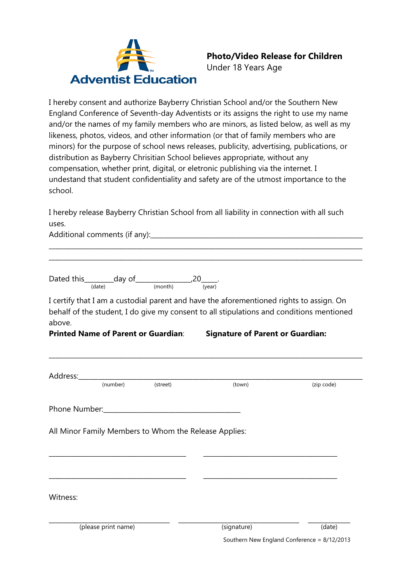

### **Photo/Video Release for Children**

Under 18 Years Age

I hereby consent and authorize Bayberry Christian School and/or the Southern New England Conference of Seventh-day Adventists or its assigns the right to use my name and/or the names of my family members who are minors, as listed below, as well as my likeness, photos, videos, and other information (or that of family members who are minors) for the purpose of school news releases, publicity, advertising, publications, or distribution as Bayberry Chrisitian School believes appropriate, without any compensation, whether print, digital, or eletronic publishing via the internet. I undestand that student confidentiality and safety are of the utmost importance to the school.

I hereby release Bayberry Christian School from all liability in connection with all such uses.

\_\_\_\_\_\_\_\_\_\_\_\_\_\_\_\_\_\_\_\_\_\_\_\_\_\_\_\_\_\_\_\_\_\_\_\_\_\_\_\_\_\_\_\_\_\_\_\_\_\_\_\_\_\_\_\_\_\_\_\_\_\_\_\_\_\_\_\_\_\_\_\_\_\_\_\_\_\_\_\_\_\_\_\_\_\_\_\_\_\_\_\_\_\_\_\_ \_\_\_\_\_\_\_\_\_\_\_\_\_\_\_\_\_\_\_\_\_\_\_\_\_\_\_\_\_\_\_\_\_\_\_\_\_\_\_\_\_\_\_\_\_\_\_\_\_\_\_\_\_\_\_\_\_\_\_\_\_\_\_\_\_\_\_\_\_\_\_\_\_\_\_\_\_\_\_\_\_\_\_\_\_\_\_\_\_\_\_\_\_\_\_\_

Additional comments (if any): The comment of any and a set of any and a set of any and a set of any and a set o

Dated this\_\_\_\_\_\_\_\_\_day of\_\_\_\_\_\_\_\_\_\_\_\_\_\_\_\_\_,20\_\_\_\_\_. (date) (month) (year)

I certify that I am a custodial parent and have the aforementioned rights to assign. On behalf of the student, I do give my consent to all stipulations and conditions mentioned above.

**\_\_\_\_\_\_\_\_\_\_\_\_\_\_\_\_\_\_\_\_\_\_\_\_\_\_\_\_\_\_\_\_\_\_\_\_\_\_\_\_\_\_\_\_\_\_\_\_\_\_\_\_\_\_\_\_\_\_\_\_\_\_\_\_\_\_\_\_\_\_\_\_\_\_\_\_\_\_\_\_\_\_\_\_\_\_\_\_\_\_\_\_\_\_\_\_**

**Printed Name of Parent or Guardian**: **Signature of Parent or Guardian:**

|          | (number)            | (street)                                              | (town)      | (zip code) |
|----------|---------------------|-------------------------------------------------------|-------------|------------|
|          |                     |                                                       |             |            |
|          |                     | All Minor Family Members to Whom the Release Applies: |             |            |
|          |                     |                                                       |             |            |
|          |                     |                                                       |             |            |
|          |                     |                                                       |             |            |
|          |                     |                                                       |             |            |
| Witness: | (please print name) |                                                       | (signature) | (date)     |